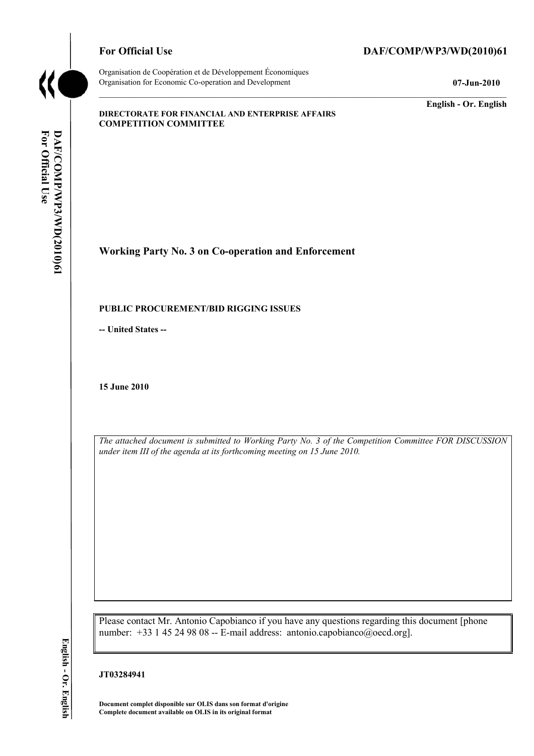

Organisation de Coopération et de Développement Économiques Organisation for Economic Co-operation and Development **07-Jun-2010** 

# For Official Use DAF/COMP/WP3/WD(2010)61

**English - Or. English** 

#### **DIRECTORATE FOR FINANCIAL AND ENTERPRISE AFFAIRS COMPETITION COMMITTEE**

**Working Party No. 3 on Co-operation and Enforcement** 

#### **PUBLIC PROCUREMENT/BID RIGGING ISSUES**

**-- United States --**

**15 June 2010** 

*The attached document is submitted to Working Party No. 3 of the Competition Committee FOR DISCUSSION under item III of the agenda at its forthcoming meeting on 15 June 2010.* 

Please contact Mr. Antonio Capobianco if you have any questions regarding this document [phone number: +33 1 45 24 98 08 -- E-mail address: antonio.capobianco@oecd.org].

 **Document complet disponible sur OLIS dans son format d'origine Complete document available on OLIS in its original format** 

English - Or. English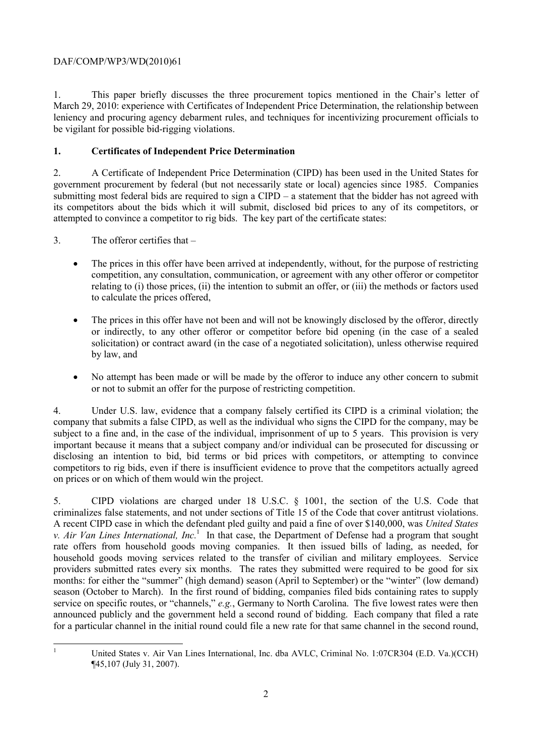# DAF/COMP/WP3/WD(2010)61

1. This paper briefly discusses the three procurement topics mentioned in the Chair's letter of March 29, 2010: experience with Certificates of Independent Price Determination, the relationship between leniency and procuring agency debarment rules, and techniques for incentivizing procurement officials to be vigilant for possible bid-rigging violations.

# **1. Certificates of Independent Price Determination**

2. A Certificate of Independent Price Determination (CIPD) has been used in the United States for government procurement by federal (but not necessarily state or local) agencies since 1985. Companies submitting most federal bids are required to sign a CIPD – a statement that the bidder has not agreed with its competitors about the bids which it will submit, disclosed bid prices to any of its competitors, or attempted to convince a competitor to rig bids. The key part of the certificate states:

3. The offeror certifies that –

- The prices in this offer have been arrived at independently, without, for the purpose of restricting competition, any consultation, communication, or agreement with any other offeror or competitor relating to (i) those prices, (ii) the intention to submit an offer, or (iii) the methods or factors used to calculate the prices offered,
- The prices in this offer have not been and will not be knowingly disclosed by the offeror, directly or indirectly, to any other offeror or competitor before bid opening (in the case of a sealed solicitation) or contract award (in the case of a negotiated solicitation), unless otherwise required by law, and
- • No attempt has been made or will be made by the offeror to induce any other concern to submit or not to submit an offer for the purpose of restricting competition.

 4. Under U.S. law, evidence that a company falsely certified its CIPD is a criminal violation; the company that submits a false CIPD, as well as the individual who signs the CIPD for the company, may be subject to a fine and, in the case of the individual, imprisonment of up to 5 years. This provision is very important because it means that a subject company and/or individual can be prosecuted for discussing or disclosing an intention to bid, bid terms or bid prices with competitors, or attempting to convince competitors to rig bids, even if there is insufficient evidence to prove that the competitors actually agreed on prices or on which of them would win the project.

 criminalizes false statements, and not under sections of Title 15 of the Code that cover antitrust violations. *v. Air Van Lines International, Inc.*<sup>1</sup> In that case, the Department of Defense had a program that sought providers submitted rates every six months. The rates they submitted were required to be good for six season (October to March). In the first round of bidding, companies filed bids containing rates to supply announced publicly and the government held a second round of bidding. Each company that filed a rate 5. CIPD violations are charged under 18 U.S.C. § 1001, the section of the U.S. Code that A recent CIPD case in which the defendant pled guilty and paid a fine of over \$140,000, was *United States*  rate offers from household goods moving companies. It then issued bills of lading, as needed, for household goods moving services related to the transfer of civilian and military employees. Service months: for either the "summer" (high demand) season (April to September) or the "winter" (low demand) service on specific routes, or "channels," *e.g.*, Germany to North Carolina. The five lowest rates were then for a particular channel in the initial round could file a new rate for that same channel in the second round,

 1

United States v. Air Van Lines International, Inc. dba AVLC, Criminal No. 1:07CR304 (E.D. Va.)(CCH) ¶45,107 (July 31, 2007).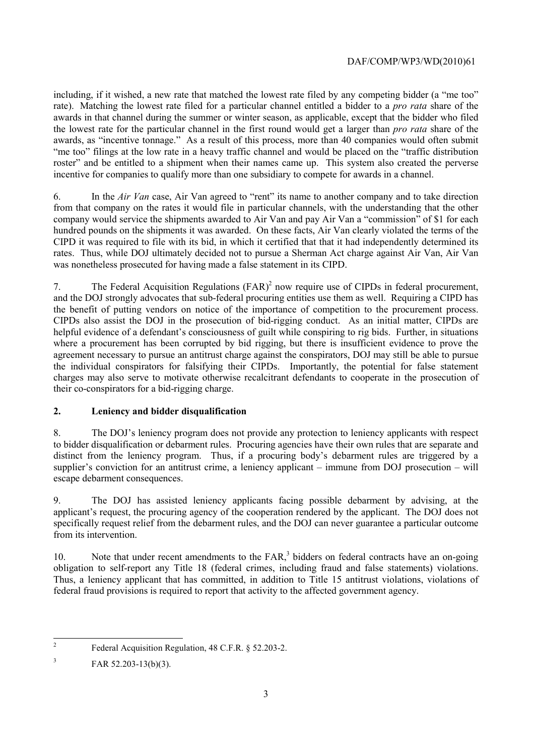# DAF/COMP/WP3/WD(2010)61

including, if it wished, a new rate that matched the lowest rate filed by any competing bidder (a "me too" rate). Matching the lowest rate filed for a particular channel entitled a bidder to a *pro rata* share of the awards in that channel during the summer or winter season, as applicable, except that the bidder who filed the lowest rate for the particular channel in the first round would get a larger than *pro rata* share of the awards, as "incentive tonnage." As a result of this process, more than 40 companies would often submit "me too" filings at the low rate in a heavy traffic channel and would be placed on the "traffic distribution roster" and be entitled to a shipment when their names came up. This system also created the perverse incentive for companies to qualify more than one subsidiary to compete for awards in a channel.

 CIPD it was required to file with its bid, in which it certified that that it had independently determined its 6. In the *Air Van* case, Air Van agreed to "rent" its name to another company and to take direction from that company on the rates it would file in particular channels, with the understanding that the other company would service the shipments awarded to Air Van and pay Air Van a "commission" of \$1 for each hundred pounds on the shipments it was awarded. On these facts, Air Van clearly violated the terms of the rates. Thus, while DOJ ultimately decided not to pursue a Sherman Act charge against Air Van, Air Van was nonetheless prosecuted for having made a false statement in its CIPD.

the benefit of putting vendors on notice of the importance of competition to the procurement process. 7. The Federal Acquisition Regulations (FAR)<sup>2</sup> now require use of CIPDs in federal procurement, and the DOJ strongly advocates that sub-federal procuring entities use them as well. Requiring a CIPD has the benefit of putting vendors on notice of the importance of competition to the procurement process. CIPDs also assist the DOJ in the prosecution of bid-rigging conduct. As an initial matter, CIPDs are helpful evidence of a defendant's consciousness of guilt while conspiring to rig bids. Further, in situations where a procurement has been corrupted by bid rigging, but there is insufficient evidence to prove the agreement necessary to pursue an antitrust charge against the conspirators, DOJ may still be able to pursue the individual conspirators for falsifying their CIPDs. Importantly, the potential for false statement charges may also serve to motivate otherwise recalcitrant defendants to cooperate in the prosecution of their co-conspirators for a bid-rigging charge.

# **2. Leniency and bidder disqualification**

8. The DOJ's leniency program does not provide any protection to leniency applicants with respect to bidder disqualification or debarment rules. Procuring agencies have their own rules that are separate and distinct from the leniency program. Thus, if a procuring body's debarment rules are triggered by a supplier's conviction for an antitrust crime, a leniency applicant – immune from DOJ prosecution – will escape debarment consequences.

 applicant's request, the procuring agency of the cooperation rendered by the applicant. The DOJ does not 9. The DOJ has assisted leniency applicants facing possible debarment by advising, at the specifically request relief from the debarment rules, and the DOJ can never guarantee a particular outcome from its intervention.

obligation to self-report any Title 18 (federal crimes, including fraud and false statements) violations. 10. Note that under recent amendments to the FAR,<sup>3</sup> bidders on federal contracts have an on-going Thus, a leniency applicant that has committed, in addition to Title 15 antitrust violations, violations of federal fraud provisions is required to report that activity to the affected government agency.

 2 Federal Acquisition Regulation, 48 C.F.R. § 52.203-2.

 $\text{FAR } 52.203 - 13 \text{ (b)} \text{ (3)}.$